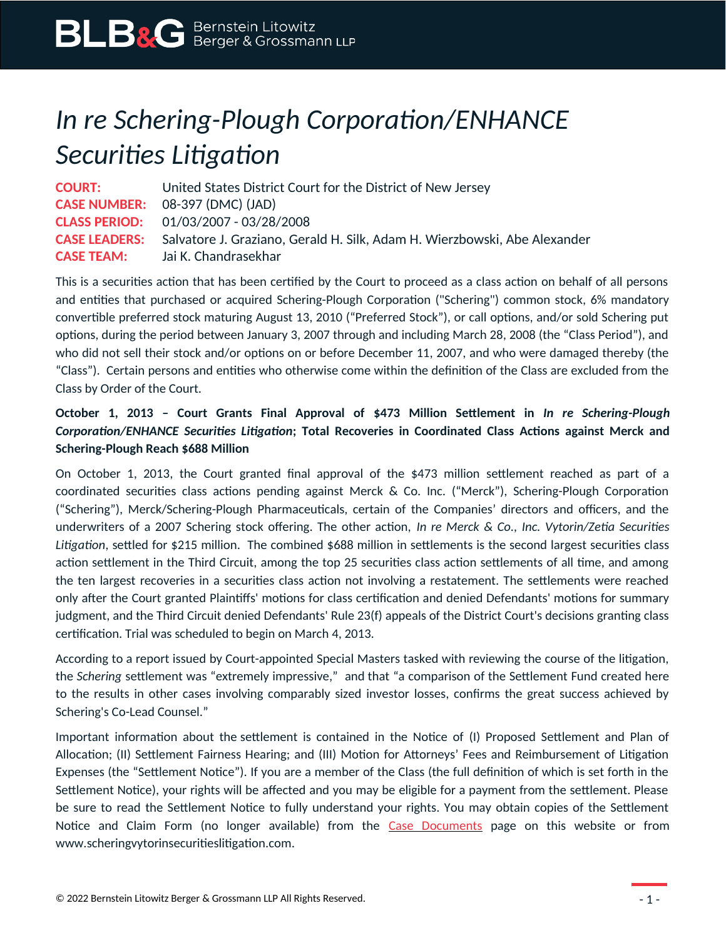## *In re Schering-Plough Corporation/ENHANCE Securities Litigation*

**COURT:** United States District Court for the District of New Jersey **CASE NUMBER:** 08-397 (DMC) (JAD) **CLASS PERIOD:** 01/03/2007 - 03/28/2008 **CASE LEADERS:** Salvatore J. Graziano, Gerald H. Silk, Adam H. Wierzbowski, Abe Alexander **CASE TEAM:** Jai K. Chandrasekhar

This is a securities action that has been certified by the Court to proceed as a class action on behalf of all persons and entities that purchased or acquired Schering-Plough Corporation ("Schering") common stock, 6% mandatory convertible preferred stock maturing August 13, 2010 ("Preferred Stock"), or call options, and/or sold Schering put options, during the period between January 3, 2007 through and including March 28, 2008 (the "Class Period"), and who did not sell their stock and/or options on or before December 11, 2007, and who were damaged thereby (the "Class"). Certain persons and entities who otherwise come within the definition of the Class are excluded from the Class by Order of the Court.

## **October 1, 2013 – Court Grants Final Approval of \$473 Million Settlement in** *In re Schering-Plough Corporation/ENHANCE Securities Litigation***; Total Recoveries in Coordinated Class Actions against Merck and Schering-Plough Reach \$688 Million**

On October 1, 2013, the Court granted final approval of the \$473 million settlement reached as part of a coordinated securities class actions pending against Merck & Co. Inc. ("Merck"), Schering-Plough Corporation ("Schering"), Merck/Schering-Plough Pharmaceuticals, certain of the Companies' directors and officers, and the underwriters of a 2007 Schering stock offering. The other action, *In re Merck & Co., Inc. Vytorin/Zetia Securities Litigation*, settled for \$215 million. The combined \$688 million in settlements is the second largest securities class action settlement in the Third Circuit, among the top 25 securities class action settlements of all time, and among the ten largest recoveries in a securities class action not involving a restatement. The settlements were reached only after the Court granted Plaintiffs' motions for class certification and denied Defendants' motions for summary judgment, and the Third Circuit denied Defendants' Rule 23(f) appeals of the District Court's decisions granting class certification. Trial was scheduled to begin on March 4, 2013.

According to a report issued by Court-appointed Special Masters tasked with reviewing the course of the litigation, the *Schering* settlement was "extremely impressive," and that "a comparison of the Settlement Fund created here to the results in other cases involving comparably sized investor losses, confirms the great success achieved by Schering's Co-Lead Counsel."

Important information about the settlement is contained in the Notice of (I) Proposed Settlement and Plan of Allocation; (II) Settlement Fairness Hearing; and (III) Motion for Attorneys' Fees and Reimbursement of Litigation Expenses (the "Settlement Notice"). If you are a member of the Class (the full definition of which is set forth in the Settlement Notice), your rights will be affected and you may be eligible for a payment from the settlement. Please be sure to read the Settlement Notice to fully understand your rights. You may obtain copies of the Settlement Notice and Claim Form (no longer available) from the [Case Documents](https://www.blbglaw.com/cases/schering-plough-corporation?viewDocs=1) page on this website or from www.scheringvytorinsecuritieslitigation.com.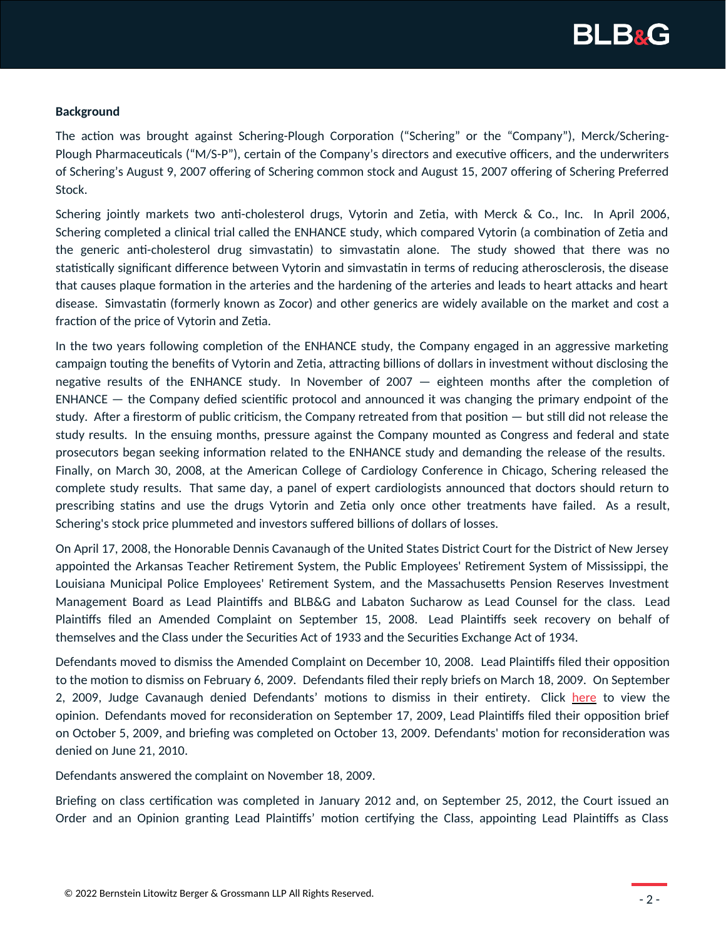

## **Background**

The action was brought against Schering-Plough Corporation ("Schering" or the "Company"), Merck/Schering-Plough Pharmaceuticals ("M/S-P"), certain of the Company's directors and executive officers, and the underwriters of Schering's August 9, 2007 offering of Schering common stock and August 15, 2007 offering of Schering Preferred Stock.

Schering jointly markets two anti-cholesterol drugs, Vytorin and Zetia, with Merck & Co., Inc. In April 2006, Schering completed a clinical trial called the ENHANCE study, which compared Vytorin (a combination of Zetia and the generic anti-cholesterol drug simvastatin) to simvastatin alone. The study showed that there was no statistically significant difference between Vytorin and simvastatin in terms of reducing atherosclerosis, the disease that causes plaque formation in the arteries and the hardening of the arteries and leads to heart attacks and heart disease. Simvastatin (formerly known as Zocor) and other generics are widely available on the market and cost a fraction of the price of Vytorin and Zetia.

In the two years following completion of the ENHANCE study, the Company engaged in an aggressive marketing campaign touting the benefits of Vytorin and Zetia, attracting billions of dollars in investment without disclosing the negative results of the ENHANCE study. In November of 2007 — eighteen months after the completion of ENHANCE — the Company defied scientific protocol and announced it was changing the primary endpoint of the study. After a firestorm of public criticism, the Company retreated from that position — but still did not release the study results. In the ensuing months, pressure against the Company mounted as Congress and federal and state prosecutors began seeking information related to the ENHANCE study and demanding the release of the results. Finally, on March 30, 2008, at the American College of Cardiology Conference in Chicago, Schering released the complete study results. That same day, a panel of expert cardiologists announced that doctors should return to prescribing statins and use the drugs Vytorin and Zetia only once other treatments have failed. As a result, Schering's stock price plummeted and investors suffered billions of dollars of losses.

On April 17, 2008, the Honorable Dennis Cavanaugh of the United States District Court for the District of New Jersey appointed the Arkansas Teacher Retirement System, the Public Employees' Retirement System of Mississippi, the Louisiana Municipal Police Employees' Retirement System, and the Massachusetts Pension Reserves Investment Management Board as Lead Plaintiffs and BLB&G and Labaton Sucharow as Lead Counsel for the class. Lead Plaintiffs filed an Amended Complaint on September 15, 2008. Lead Plaintiffs seek recovery on behalf of themselves and the Class under the Securities Act of 1933 and the Securities Exchange Act of 1934.

Defendants moved to dismiss the Amended Complaint on December 10, 2008. Lead Plaintiffs filed their opposition to the motion to dismiss on February 6, 2009. Defendants filed their reply briefs on March 18, 2009. On September 2, 2009, Judge Cavanaugh denied Defendants' motions to dismiss in their entirety. Click [here](https://www.blbglaw.com/misc_files/ScheringVytorinMTDOpinion.pdf) to view the opinion. Defendants moved for reconsideration on September 17, 2009, Lead Plaintiffs filed their opposition brief on October 5, 2009, and briefing was completed on October 13, 2009. Defendants' motion for reconsideration was denied on June 21, 2010.

Defendants answered the complaint on November 18, 2009.

Briefing on class certification was completed in January 2012 and, on September 25, 2012, the Court issued an Order and an Opinion granting Lead Plaintiffs' motion certifying the Class, appointing Lead Plaintiffs as Class